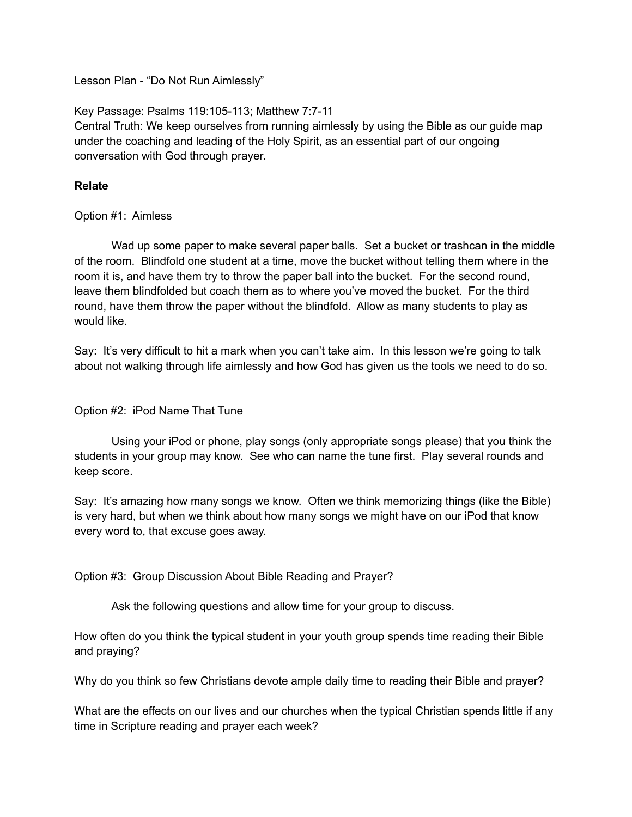Lesson Plan - "Do Not Run Aimlessly"

Key Passage: Psalms 119:105-113; Matthew 7:7-11

Central Truth: We keep ourselves from running aimlessly by using the Bible as our guide map under the coaching and leading of the Holy Spirit, as an essential part of our ongoing conversation with God through prayer.

# **Relate**

Option #1: Aimless

Wad up some paper to make several paper balls. Set a bucket or trashcan in the middle of the room. Blindfold one student at a time, move the bucket without telling them where in the room it is, and have them try to throw the paper ball into the bucket. For the second round, leave them blindfolded but coach them as to where you've moved the bucket. For the third round, have them throw the paper without the blindfold. Allow as many students to play as would like.

Say: It's very difficult to hit a mark when you can't take aim. In this lesson we're going to talk about not walking through life aimlessly and how God has given us the tools we need to do so.

#### Option #2: iPod Name That Tune

Using your iPod or phone, play songs (only appropriate songs please) that you think the students in your group may know. See who can name the tune first. Play several rounds and keep score.

Say: It's amazing how many songs we know. Often we think memorizing things (like the Bible) is very hard, but when we think about how many songs we might have on our iPod that know every word to, that excuse goes away.

Option #3: Group Discussion About Bible Reading and Prayer?

Ask the following questions and allow time for your group to discuss.

How often do you think the typical student in your youth group spends time reading their Bible and praying?

Why do you think so few Christians devote ample daily time to reading their Bible and prayer?

What are the effects on our lives and our churches when the typical Christian spends little if any time in Scripture reading and prayer each week?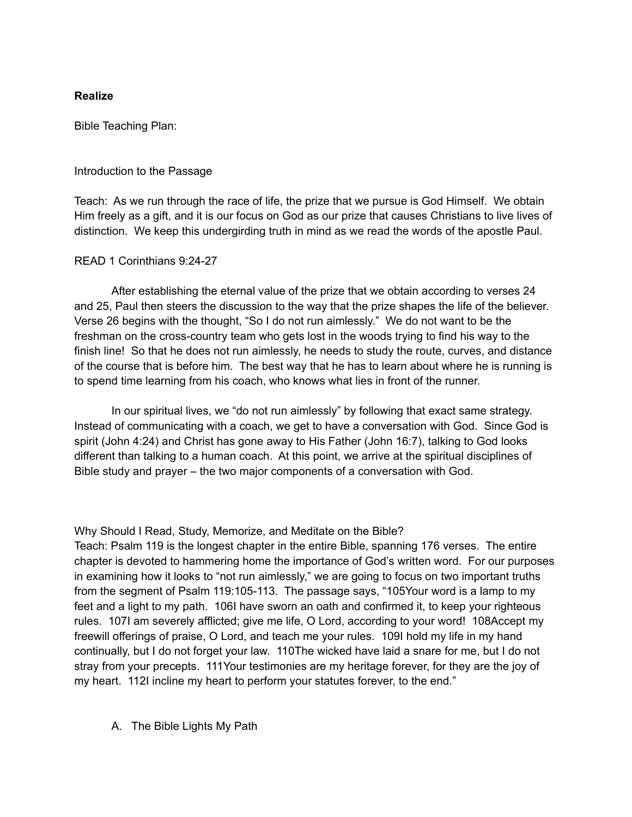# **Realize**

Bible Teaching Plan:

#### Introduction to the Passage

Teach: As we run through the race of life, the prize that we pursue is God Himself. We obtain Him freely as a gift, and it is our focus on God as our prize that causes Christians to live lives of distinction. We keep this undergirding truth in mind as we read the words of the apostle Paul.

## READ 1 Corinthians 9:24-27

After establishing the eternal value of the prize that we obtain according to verses 24 and 25, Paul then steers the discussion to the way that the prize shapes the life of the believer. Verse 26 begins with the thought, "So I do not run aimlessly." We do not want to be the freshman on the cross-country team who gets lost in the woods trying to find his way to the finish line! So that he does not run aimlessly, he needs to study the route, curves, and distance of the course that is before him. The best way that he has to learn about where he is running is to spend time learning from his coach, who knows what lies in front of the runner.

In our spiritual lives, we "do not run aimlessly" by following that exact same strategy. Instead of communicating with a coach, we get to have a conversation with God. Since God is spirit (John 4:24) and Christ has gone away to His Father (John 16:7), talking to God looks different than talking to a human coach. At this point, we arrive at the spiritual disciplines of Bible study and prayer – the two major components of a conversation with God.

Why Should I Read, Study, Memorize, and Meditate on the Bible?

Teach: Psalm 119 is the longest chapter in the entire Bible, spanning 176 verses. The entire chapter is devoted to hammering home the importance of God's written word. For our purposes in examining how it looks to "not run aimlessly," we are going to focus on two important truths from the segment of Psalm 119:105-113. The passage says, "105Your word is a lamp to my feet and a light to my path. 106I have sworn an oath and confirmed it, to keep your righteous rules. 107I am severely afflicted; give me life, O Lord, according to your word! 108Accept my freewill offerings of praise, O Lord, and teach me your rules. 109I hold my life in my hand continually, but I do not forget your law. 110The wicked have laid a snare for me, but I do not stray from your precepts. 111Your testimonies are my heritage forever, for they are the joy of my heart. 112I incline my heart to perform your statutes forever, to the end."

A. The Bible Lights My Path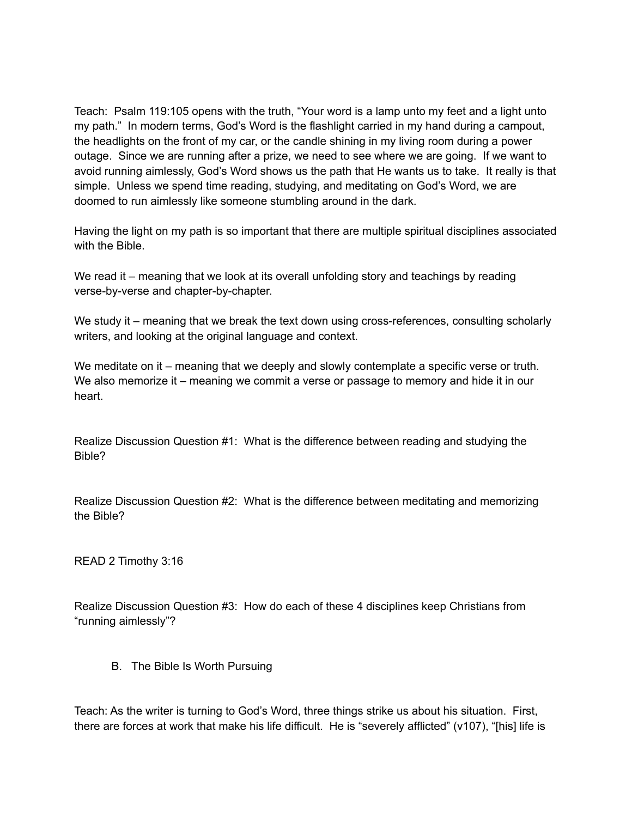Teach: Psalm 119:105 opens with the truth, "Your word is a lamp unto my feet and a light unto my path." In modern terms, God's Word is the flashlight carried in my hand during a campout, the headlights on the front of my car, or the candle shining in my living room during a power outage. Since we are running after a prize, we need to see where we are going. If we want to avoid running aimlessly, God's Word shows us the path that He wants us to take. It really is that simple. Unless we spend time reading, studying, and meditating on God's Word, we are doomed to run aimlessly like someone stumbling around in the dark.

Having the light on my path is so important that there are multiple spiritual disciplines associated with the Bible.

We read it – meaning that we look at its overall unfolding story and teachings by reading verse-by-verse and chapter-by-chapter.

We study it – meaning that we break the text down using cross-references, consulting scholarly writers, and looking at the original language and context.

We meditate on it – meaning that we deeply and slowly contemplate a specific verse or truth. We also memorize it – meaning we commit a verse or passage to memory and hide it in our heart.

Realize Discussion Question #1: What is the difference between reading and studying the Bible?

Realize Discussion Question #2: What is the difference between meditating and memorizing the Bible?

READ 2 Timothy 3:16

Realize Discussion Question #3: How do each of these 4 disciplines keep Christians from "running aimlessly"?

B. The Bible Is Worth Pursuing

Teach: As the writer is turning to God's Word, three things strike us about his situation. First, there are forces at work that make his life difficult. He is "severely afflicted" (v107), "[his] life is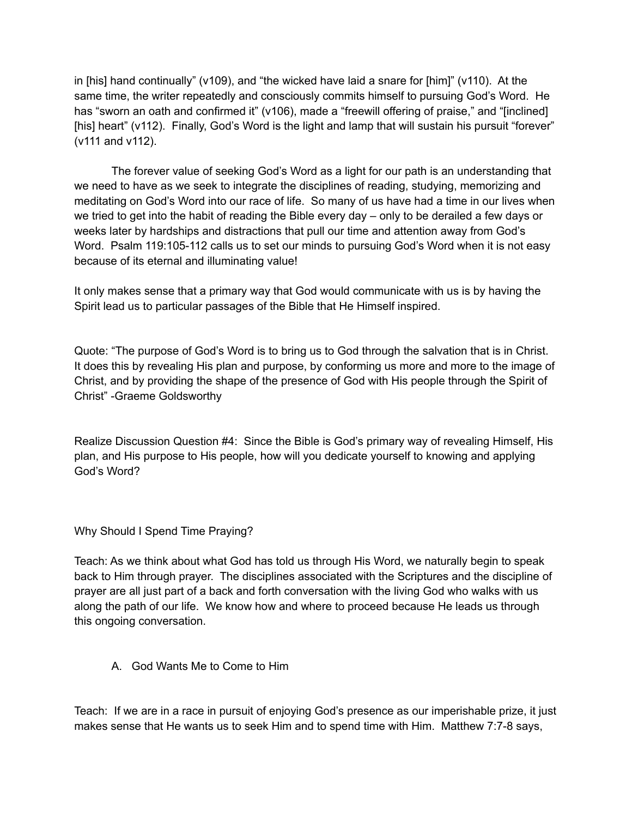in [his] hand continually" (v109), and "the wicked have laid a snare for [him]" (v110). At the same time, the writer repeatedly and consciously commits himself to pursuing God's Word. He has "sworn an oath and confirmed it" (v106), made a "freewill offering of praise," and "[inclined] [his] heart" (v112). Finally, God's Word is the light and lamp that will sustain his pursuit "forever" (v111 and v112).

The forever value of seeking God's Word as a light for our path is an understanding that we need to have as we seek to integrate the disciplines of reading, studying, memorizing and meditating on God's Word into our race of life. So many of us have had a time in our lives when we tried to get into the habit of reading the Bible every day – only to be derailed a few days or weeks later by hardships and distractions that pull our time and attention away from God's Word. Psalm 119:105-112 calls us to set our minds to pursuing God's Word when it is not easy because of its eternal and illuminating value!

It only makes sense that a primary way that God would communicate with us is by having the Spirit lead us to particular passages of the Bible that He Himself inspired.

Quote: "The purpose of God's Word is to bring us to God through the salvation that is in Christ. It does this by revealing His plan and purpose, by conforming us more and more to the image of Christ, and by providing the shape of the presence of God with His people through the Spirit of Christ" -Graeme Goldsworthy

Realize Discussion Question #4: Since the Bible is God's primary way of revealing Himself, His plan, and His purpose to His people, how will you dedicate yourself to knowing and applying God's Word?

Why Should I Spend Time Praying?

Teach: As we think about what God has told us through His Word, we naturally begin to speak back to Him through prayer. The disciplines associated with the Scriptures and the discipline of prayer are all just part of a back and forth conversation with the living God who walks with us along the path of our life. We know how and where to proceed because He leads us through this ongoing conversation.

A. God Wants Me to Come to Him

Teach: If we are in a race in pursuit of enjoying God's presence as our imperishable prize, it just makes sense that He wants us to seek Him and to spend time with Him. Matthew 7:7-8 says,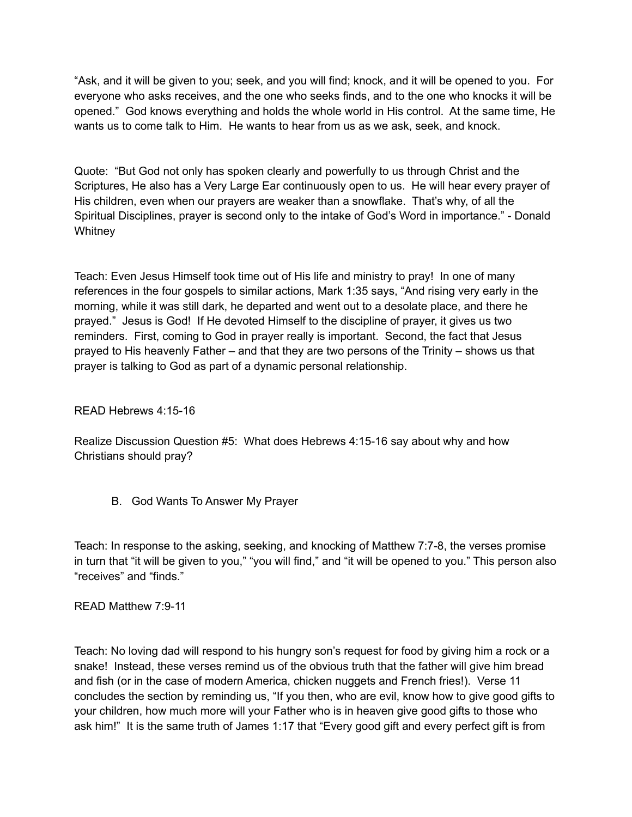"Ask, and it will be given to you; seek, and you will find; knock, and it will be opened to you. For everyone who asks receives, and the one who seeks finds, and to the one who knocks it will be opened." God knows everything and holds the whole world in His control. At the same time, He wants us to come talk to Him. He wants to hear from us as we ask, seek, and knock.

Quote: "But God not only has spoken clearly and powerfully to us through Christ and the Scriptures, He also has a Very Large Ear continuously open to us. He will hear every prayer of His children, even when our prayers are weaker than a snowflake. That's why, of all the Spiritual Disciplines, prayer is second only to the intake of God's Word in importance." - Donald **Whitney** 

Teach: Even Jesus Himself took time out of His life and ministry to pray! In one of many references in the four gospels to similar actions, Mark 1:35 says, "And rising very early in the morning, while it was still dark, he departed and went out to a desolate place, and there he prayed." Jesus is God! If He devoted Himself to the discipline of prayer, it gives us two reminders. First, coming to God in prayer really is important. Second, the fact that Jesus prayed to His heavenly Father – and that they are two persons of the Trinity – shows us that prayer is talking to God as part of a dynamic personal relationship.

# READ Hebrews 4:15-16

Realize Discussion Question #5: What does Hebrews 4:15-16 say about why and how Christians should pray?

B. God Wants To Answer My Prayer

Teach: In response to the asking, seeking, and knocking of Matthew 7:7-8, the verses promise in turn that "it will be given to you," "you will find," and "it will be opened to you." This person also "receives" and "finds."

READ Matthew 7:9-11

Teach: No loving dad will respond to his hungry son's request for food by giving him a rock or a snake! Instead, these verses remind us of the obvious truth that the father will give him bread and fish (or in the case of modern America, chicken nuggets and French fries!). Verse 11 concludes the section by reminding us, "If you then, who are evil, know how to give good gifts to your children, how much more will your Father who is in heaven give good gifts to those who ask him!" It is the same truth of James 1:17 that "Every good gift and every perfect gift is from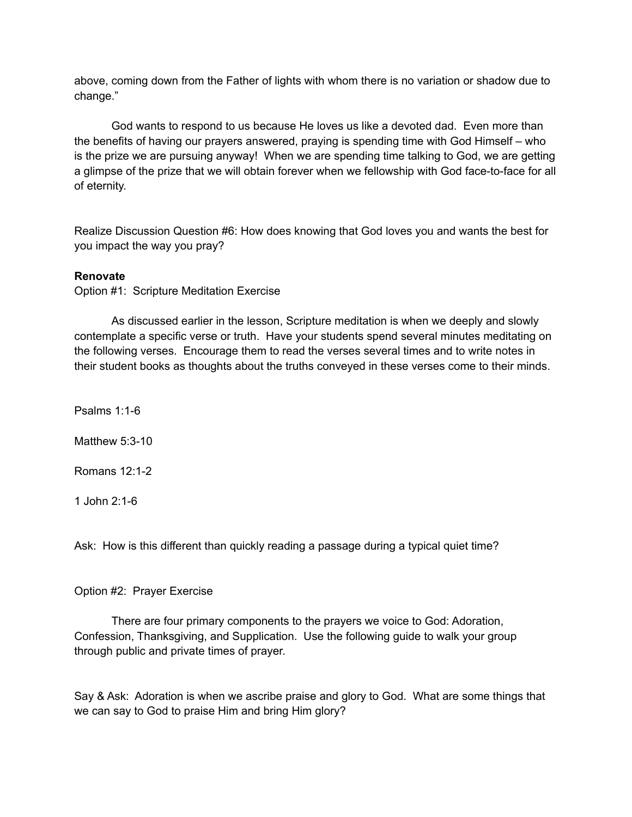above, coming down from the Father of lights with whom there is no variation or shadow due to change."

God wants to respond to us because He loves us like a devoted dad. Even more than the benefits of having our prayers answered, praying is spending time with God Himself – who is the prize we are pursuing anyway! When we are spending time talking to God, we are getting a glimpse of the prize that we will obtain forever when we fellowship with God face-to-face for all of eternity.

Realize Discussion Question #6: How does knowing that God loves you and wants the best for you impact the way you pray?

## **Renovate**

Option #1: Scripture Meditation Exercise

As discussed earlier in the lesson, Scripture meditation is when we deeply and slowly contemplate a specific verse or truth. Have your students spend several minutes meditating on the following verses. Encourage them to read the verses several times and to write notes in their student books as thoughts about the truths conveyed in these verses come to their minds.

Psalms 1:1-6

Matthew 5:3-10

Romans 12:1-2

1 John 2:1-6

Ask: How is this different than quickly reading a passage during a typical quiet time?

#### Option #2: Prayer Exercise

There are four primary components to the prayers we voice to God: Adoration, Confession, Thanksgiving, and Supplication. Use the following guide to walk your group through public and private times of prayer.

Say & Ask: Adoration is when we ascribe praise and glory to God. What are some things that we can say to God to praise Him and bring Him glory?